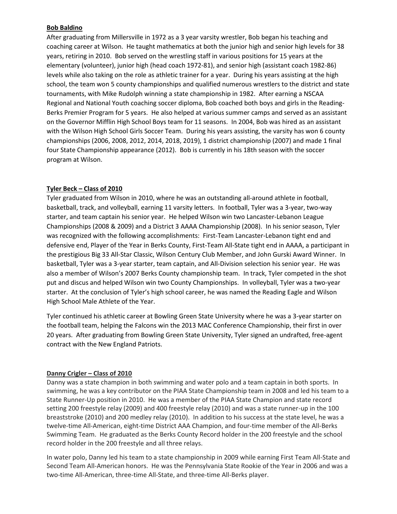## **Bob Baldino**

After graduating from Millersville in 1972 as a 3 year varsity wrestler, Bob began his teaching and coaching career at Wilson. He taught mathematics at both the junior high and senior high levels for 38 years, retiring in 2010. Bob served on the wrestling staff in various positions for 15 years at the elementary (volunteer), junior high (head coach 1972-81), and senior high (assistant coach 1982-86) levels while also taking on the role as athletic trainer for a year. During his years assisting at the high school, the team won 5 county championships and qualified numerous wrestlers to the district and state tournaments, with Mike Rudolph winning a state championship in 1982. After earning a NSCAA Regional and National Youth coaching soccer diploma, Bob coached both boys and girls in the Reading-Berks Premier Program for 5 years. He also helped at various summer camps and served as an assistant on the Governor Mifflin High School Boys team for 11 seasons. In 2004, Bob was hired as an assistant with the Wilson High School Girls Soccer Team. During his years assisting, the varsity has won 6 county championships (2006, 2008, 2012, 2014, 2018, 2019), 1 district championship (2007) and made 1 final four State Championship appearance (2012). Bob is currently in his 18th season with the soccer program at Wilson.

# **Tyler Beck – Class of 2010**

Tyler graduated from Wilson in 2010, where he was an outstanding all-around athlete in football, basketball, track, and volleyball, earning 11 varsity letters. In football, Tyler was a 3-year, two-way starter, and team captain his senior year. He helped Wilson win two Lancaster-Lebanon League Championships (2008 & 2009) and a District 3 AAAA Championship (2008). In his senior season, Tyler was recognized with the following accomplishments: First-Team Lancaster-Lebanon tight end and defensive end, Player of the Year in Berks County, First-Team All-State tight end in AAAA, a participant in the prestigious Big 33 All-Star Classic, Wilson Century Club Member, and John Gurski Award Winner. In basketball, Tyler was a 3-year starter, team captain, and All-Division selection his senior year. He was also a member of Wilson's 2007 Berks County championship team. In track, Tyler competed in the shot put and discus and helped Wilson win two County Championships. In volleyball, Tyler was a two-year starter. At the conclusion of Tyler's high school career, he was named the Reading Eagle and Wilson High School Male Athlete of the Year.

Tyler continued his athletic career at Bowling Green State University where he was a 3-year starter on the football team, helping the Falcons win the 2013 MAC Conference Championship, their first in over 20 years. After graduating from Bowling Green State University, Tyler signed an undrafted, free-agent contract with the New England Patriots.

# **Danny Crigler – Class of 2010**

Danny was a state champion in both swimming and water polo and a team captain in both sports. In swimming, he was a key contributor on the PIAA State Championship team in 2008 and led his team to a State Runner-Up position in 2010. He was a member of the PIAA State Champion and state record setting 200 freestyle relay (2009) and 400 freestyle relay (2010) and was a state runner-up in the 100 breaststroke (2010) and 200 medley relay (2010). In addition to his success at the state level, he was a twelve-time All-American, eight-time District AAA Champion, and four-time member of the All-Berks Swimming Team. He graduated as the Berks County Record holder in the 200 freestyle and the school record holder in the 200 freestyle and all three relays.

In water polo, Danny led his team to a state championship in 2009 while earning First Team All-State and Second Team All-American honors. He was the Pennsylvania State Rookie of the Year in 2006 and was a two-time All-American, three-time All-State, and three-time All-Berks player.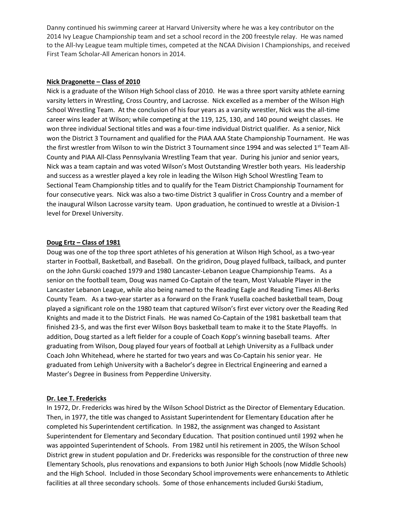Danny continued his swimming career at Harvard University where he was a key contributor on the 2014 Ivy League Championship team and set a school record in the 200 freestyle relay. He was named to the All-Ivy League team multiple times, competed at the NCAA Division I Championships, and received First Team Scholar-All American honors in 2014.

### **Nick Dragonette – Class of 2010**

Nick is a graduate of the Wilson High School class of 2010. He was a three sport varsity athlete earning varsity letters in Wrestling, Cross Country, and Lacrosse. Nick excelled as a member of the Wilson High School Wrestling Team. At the conclusion of his four years as a varsity wrestler, Nick was the all-time career wins leader at Wilson; while competing at the 119, 125, 130, and 140 pound weight classes. He won three individual Sectional titles and was a four-time individual District qualifier. As a senior, Nick won the District 3 Tournament and qualified for the PIAA AAA State Championship Tournament. He was the first wrestler from Wilson to win the District 3 Tournament since 1994 and was selected 1<sup>st</sup> Team All-County and PIAA All-Class Pennsylvania Wrestling Team that year. During his junior and senior years, Nick was a team captain and was voted Wilson's Most Outstanding Wrestler both years. His leadership and success as a wrestler played a key role in leading the Wilson High School Wrestling Team to Sectional Team Championship titles and to qualify for the Team District Championship Tournament for four consecutive years. Nick was also a two-time District 3 qualifier in Cross Country and a member of the inaugural Wilson Lacrosse varsity team. Upon graduation, he continued to wrestle at a Division-1 level for Drexel University.

## **Doug Ertz – Class of 1981**

Doug was one of the top three sport athletes of his generation at Wilson High School, as a two-year starter in Football, Basketball, and Baseball. On the gridiron, Doug played fullback, tailback, and punter on the John Gurski coached 1979 and 1980 Lancaster-Lebanon League Championship Teams. As a senior on the football team, Doug was named Co-Captain of the team, Most Valuable Player in the Lancaster Lebanon League, while also being named to the Reading Eagle and Reading Times All-Berks County Team. As a two-year starter as a forward on the Frank Yusella coached basketball team, Doug played a significant role on the 1980 team that captured Wilson's first ever victory over the Reading Red Knights and made it to the District Finals. He was named Co-Captain of the 1981 basketball team that finished 23-5, and was the first ever Wilson Boys basketball team to make it to the State Playoffs. In addition, Doug started as a left fielder for a couple of Coach Kopp's winning baseball teams. After graduating from Wilson, Doug played four years of football at Lehigh University as a Fullback under Coach John Whitehead, where he started for two years and was Co-Captain his senior year. He graduated from Lehigh University with a Bachelor's degree in Electrical Engineering and earned a Master's Degree in Business from Pepperdine University.

## **Dr. Lee T. Fredericks**

In 1972, Dr. Fredericks was hired by the Wilson School District as the Director of Elementary Education. Then, in 1977, the title was changed to Assistant Superintendent for Elementary Education after he completed his Superintendent certification. In 1982, the assignment was changed to Assistant Superintendent for Elementary and Secondary Education. That position continued until 1992 when he was appointed Superintendent of Schools. From 1982 until his retirement in 2005, the Wilson School District grew in student population and Dr. Fredericks was responsible for the construction of three new Elementary Schools, plus renovations and expansions to both Junior High Schools (now Middle Schools) and the High School. Included in those Secondary School improvements were enhancements to Athletic facilities at all three secondary schools. Some of those enhancements included Gurski Stadium,